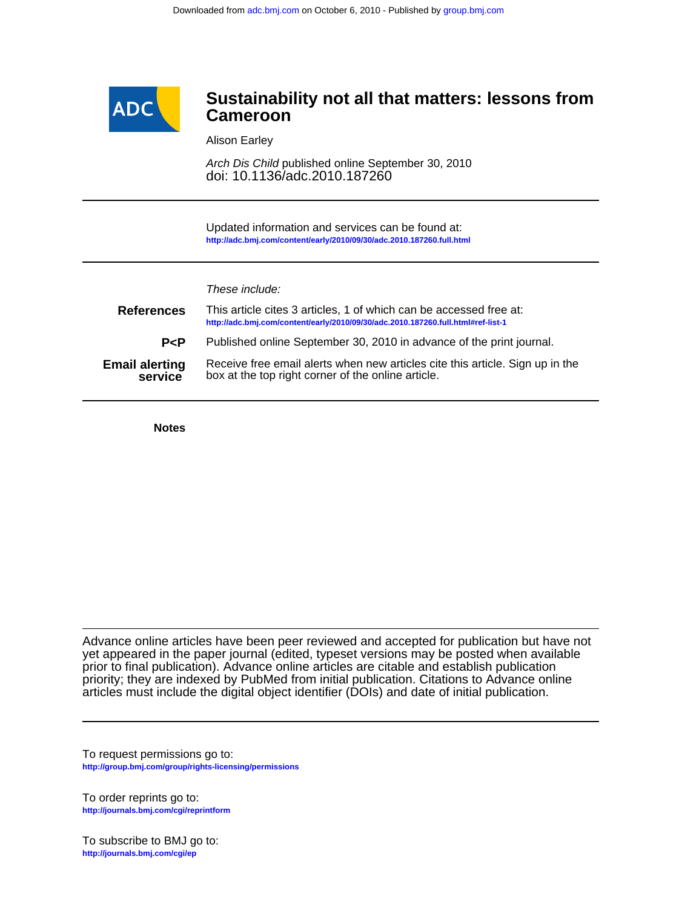

# **Cameroon Sustainability not all that matters: lessons from**

Alison Earley

doi: 10.1136/adc.2010.187260 Arch Dis Child published online September 30, 2010

**<http://adc.bmj.com/content/early/2010/09/30/adc.2010.187260.full.html>** Updated information and services can be found at:

| These include: |  |
|----------------|--|
|                |  |

| <b>References</b>                | This article cites 3 articles, 1 of which can be accessed free at:<br>http://adc.bmj.com/content/early/2010/09/30/adc.2010.187260.full.html#ref-list-1 |
|----------------------------------|--------------------------------------------------------------------------------------------------------------------------------------------------------|
| P < P                            | Published online September 30, 2010 in advance of the print journal.                                                                                   |
| <b>Email alerting</b><br>service | Receive free email alerts when new articles cite this article. Sign up in the<br>box at the top right corner of the online article.                    |

**Notes**

articles must include the digital object identifier (DOIs) and date of initial publication. priority; they are indexed by PubMed from initial publication. Citations to Advance online prior to final publication). Advance online articles are citable and establish publication yet appeared in the paper journal (edited, typeset versions may be posted when available Advance online articles have been peer reviewed and accepted for publication but have not

**<http://group.bmj.com/group/rights-licensing/permissions>** To request permissions go to:

**<http://journals.bmj.com/cgi/reprintform>** To order reprints go to:

**<http://journals.bmj.com/cgi/ep>** To subscribe to BMJ go to: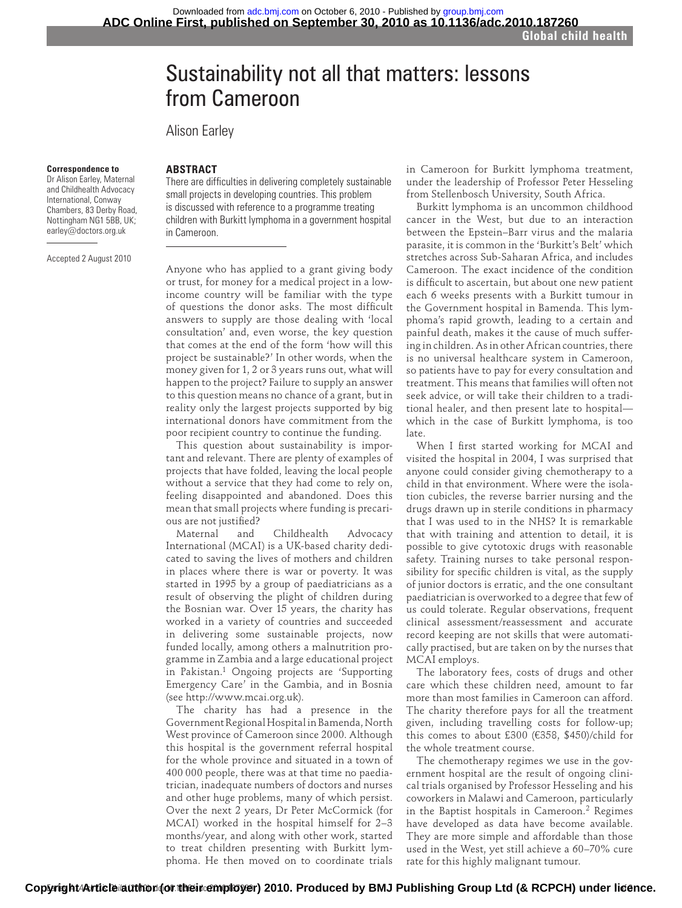# Sustainability not all that matters: lessons from Cameroon

Alison Earley

#### **Correspondence to**

 Dr Alison Earley, Maternal and Childhealth Advocacy International, Conway Chambers, 83 Derby Road, Nottingham NG1 5BB, UK; earley@doctors.org.uk

Accepted 2 August 2010

## **ABSTRACT**

There are difficulties in delivering completely sustainable small projects in developing countries. This problem is discussed with reference to a programme treating children with Burkitt lymphoma in a government hospital in Cameroon.

Anyone who has applied to a grant giving body or trust, for money for a medical project in a lowincome country will be familiar with the type of questions the donor asks. The most difficult answers to supply are those dealing with 'local consultation' and, even worse, the key question that comes at the end of the form 'how will this project be sustainable?' In other words, when the money given for 1, 2 or 3 years runs out, what will happen to the project? Failure to supply an answer to this question means no chance of a grant, but in reality only the largest projects supported by big international donors have commitment from the poor recipient country to continue the funding.

This question about sustainability is important and relevant. There are plenty of examples of projects that have folded, leaving the local people without a service that they had come to rely on, feeling disappointed and abandoned. Does this mean that small projects where funding is precarious are not justified?

Maternal and Childhealth Advocacy International (MCAI) is a UK-based charity dedicated to saving the lives of mothers and children in places where there is war or poverty. It was started in 1995 by a group of paediatricians as a result of observing the plight of children during the Bosnian war. Over 15 years, the charity has worked in a variety of countries and succeeded in delivering some sustainable projects, now funded locally, among others a malnutrition programme in Zambia and a large educational project in Pakistan.<sup>1</sup> Ongoing projects are 'Supporting Emergency Care' in the Gambia, and in Bosnia (see http://www.mcai.org.uk).

The charity has had a presence in the Government Regional Hospital in Bamenda, North West province of Cameroon since 2000. Although this hospital is the government referral hospital for the whole province and situated in a town of 400 000 people, there was at that time no paediatrician, inadequate numbers of doctors and nurses and other huge problems, many of which persist. Over the next 2 years, Dr Peter McCormick (for MCAI) worked in the hospital himself for 2–3 months/year, and along with other work, started to treat children presenting with Burkitt lymphoma. He then moved on to coordinate trials

in Cameroon for Burkitt lymphoma treatment, under the leadership of Professor Peter Hesseling from Stellenbosch University, South Africa.

Burkitt lymphoma is an uncommon childhood cancer in the West, but due to an interaction between the Epstein–Barr virus and the malaria parasite, it is common in the 'Burkitt's Belt' which stretches across Sub-Saharan Africa, and includes Cameroon. The exact incidence of the condition is difficult to ascertain, but about one new patient each 6 weeks presents with a Burkitt tumour in the Government hospital in Bamenda. This lymphoma's rapid growth, leading to a certain and painful death, makes it the cause of much suffering in children. As in other African countries, there is no universal healthcare system in Cameroon, so patients have to pay for every consultation and treatment. This means that families will often not seek advice, or will take their children to a traditional healer, and then present late to hospital which in the case of Burkitt lymphoma, is too late.

When I first started working for MCAI and visited the hospital in 2004, I was surprised that anyone could consider giving chemotherapy to a child in that environment. Where were the isolation cubicles, the reverse barrier nursing and the drugs drawn up in sterile conditions in pharmacy that I was used to in the NHS? It is remarkable that with training and attention to detail, it is possible to give cytotoxic drugs with reasonable safety. Training nurses to take personal responsibility for specific children is vital, as the supply of junior doctors is erratic, and the one consultant paediatrician is overworked to a degree that few of us could tolerate. Regular observations, frequent clinical assessment/reassessment and accurate record keeping are not skills that were automatically practised, but are taken on by the nurses that MCAI employs.

The laboratory fees, costs of drugs and other care which these children need, amount to far more than most families in Cameroon can afford. The charity therefore pays for all the treatment given, including travelling costs for follow-up; this comes to about £300 (€358, \$450)/child for the whole treatment course.

The chemotherapy regimes we use in the government hospital are the result of ongoing clinical trials organised by Professor Hesseling and his coworkers in Malawi and Cameroon, particularly in the Baptist hospitals in Cameroon.<sup>2</sup> Regimes have developed as data have become available. They are more simple and affordable than those used in the West, yet still achieve a 60–70% cure rate for this highly malignant tumour.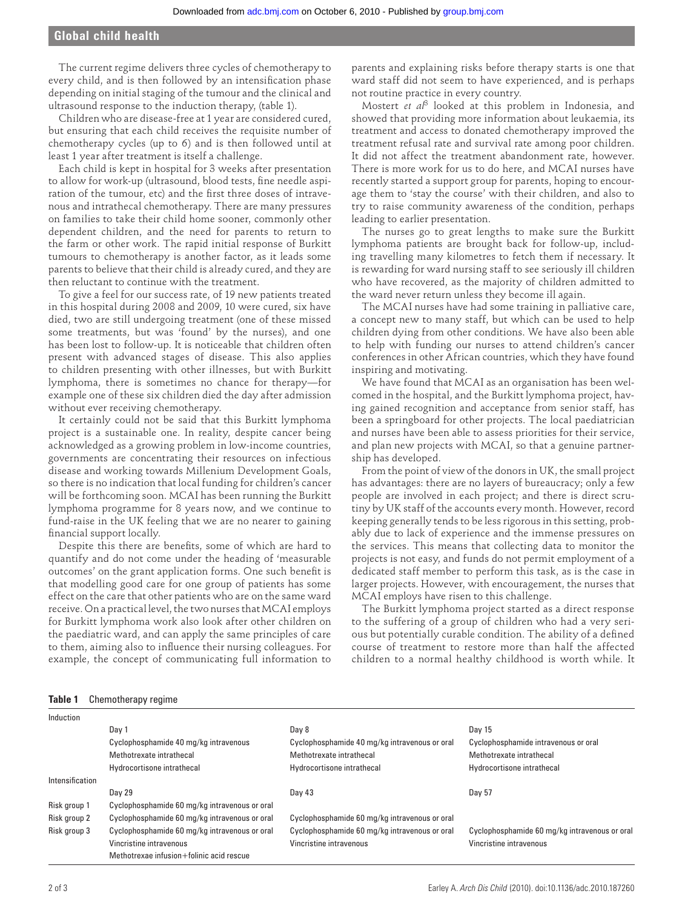# **Global child health**

The current regime delivers three cycles of chemotherapy to every child, and is then followed by an intensification phase depending on initial staging of the tumour and the clinical and ultrasound response to the induction therapy, (table 1).

Children who are disease-free at 1 year are considered cured, but ensuring that each child receives the requisite number of chemotherapy cycles (up to 6) and is then followed until at least 1 year after treatment is itself a challenge.

Each child is kept in hospital for 3 weeks after presentation to allow for work-up (ultrasound, blood tests, fine needle aspiration of the tumour, etc) and the first three doses of intravenous and intrathecal chemotherapy. There are many pressures on families to take their child home sooner, commonly other dependent children, and the need for parents to return to the farm or other work. The rapid initial response of Burkitt tumours to chemotherapy is another factor, as it leads some parents to believe that their child is already cured, and they are then reluctant to continue with the treatment.

To give a feel for our success rate, of 19 new patients treated in this hospital during 2008 and 2009, 10 were cured, six have died, two are still undergoing treatment (one of these missed some treatments, but was 'found' by the nurses), and one has been lost to follow-up. It is noticeable that children often present with advanced stages of disease. This also applies to children presenting with other illnesses, but with Burkitt lymphoma, there is sometimes no chance for therapy—for example one of these six children died the day after admission without ever receiving chemotherapy.

It certainly could not be said that this Burkitt lymphoma project is a sustainable one. In reality, despite cancer being acknowledged as a growing problem in low-income countries, governments are concentrating their resources on infectious disease and working towards Millenium Development Goals, so there is no indication that local funding for children's cancer will be forthcoming soon. MCAI has been running the Burkitt lymphoma programme for 8 years now, and we continue to fund-raise in the UK feeling that we are no nearer to gaining financial support locally.

Despite this there are benefits, some of which are hard to quantify and do not come under the heading of 'measurable outcomes' on the grant application forms. One such benefit is that modelling good care for one group of patients has some effect on the care that other patients who are on the same ward receive. On a practical level, the two nurses that MCAI employs for Burkitt lymphoma work also look after other children on the paediatric ward, and can apply the same principles of care to them, aiming also to influence their nursing colleagues. For example, the concept of communicating full information to

parents and explaining risks before therapy starts is one that ward staff did not seem to have experienced, and is perhaps not routine practice in every country.

Mostert *et al*<sup>3</sup> looked at this problem in Indonesia, and showed that providing more information about leukaemia, its treatment and access to donated chemotherapy improved the treatment refusal rate and survival rate among poor children. It did not affect the treatment abandonment rate, however. There is more work for us to do here, and MCAI nurses have recently started a support group for parents, hoping to encourage them to 'stay the course' with their children, and also to try to raise community awareness of the condition, perhaps leading to earlier presentation.

The nurses go to great lengths to make sure the Burkitt lymphoma patients are brought back for follow-up, including travelling many kilometres to fetch them if necessary. It is rewarding for ward nursing staff to see seriously ill children who have recovered, as the majority of children admitted to the ward never return unless they become ill again.

The MCAI nurses have had some training in palliative care, a concept new to many staff, but which can be used to help children dying from other conditions. We have also been able to help with funding our nurses to attend children's cancer conferences in other African countries, which they have found inspiring and motivating.

We have found that MCAI as an organisation has been welcomed in the hospital, and the Burkitt lymphoma project, having gained recognition and acceptance from senior staff, has been a springboard for other projects. The local paediatrician and nurses have been able to assess priorities for their service, and plan new projects with MCAI, so that a genuine partnership has developed.

From the point of view of the donors in UK, the small project has advantages: there are no layers of bureaucracy; only a few people are involved in each project; and there is direct scrutiny by UK staff of the accounts every month. However, record keeping generally tends to be less rigorous in this setting, probably due to lack of experience and the immense pressures on the services. This means that collecting data to monitor the projects is not easy, and funds do not permit employment of a dedicated staff member to perform this task, as is the case in larger projects. However, with encouragement, the nurses that MCAI employs have risen to this challenge.

The Burkitt lymphoma project started as a direct response to the suffering of a group of children who had a very serious but potentially curable condition. The ability of a defined course of treatment to restore more than half the affected children to a normal healthy childhood is worth while. It

### **Table 1** Chemotherapy regime

| Induction       |                                               |                                               |                                               |
|-----------------|-----------------------------------------------|-----------------------------------------------|-----------------------------------------------|
|                 | Day 1                                         | Day 8                                         | Day 15                                        |
|                 | Cyclophosphamide 40 mg/kg intravenous         | Cyclophosphamide 40 mg/kg intravenous or oral | Cyclophosphamide intravenous or oral          |
|                 | Methotrexate intrathecal                      | Methotrexate intrathecal                      | Methotrexate intrathecal                      |
|                 | Hydrocortisone intrathecal                    | Hydrocortisone intrathecal                    | Hydrocortisone intrathecal                    |
| Intensification |                                               |                                               |                                               |
|                 | Day 29                                        | Day 43                                        | Day 57                                        |
| Risk group 1    | Cyclophosphamide 60 mg/kg intravenous or oral |                                               |                                               |
| Risk group 2    | Cyclophosphamide 60 mg/kg intravenous or oral | Cyclophosphamide 60 mg/kg intravenous or oral |                                               |
| Risk group 3    | Cyclophosphamide 60 mg/kg intravenous or oral | Cyclophosphamide 60 mg/kg intravenous or oral | Cyclophosphamide 60 mg/kg intravenous or oral |
|                 | Vincristine intravenous                       | Vincristine intravenous                       | Vincristine intravenous                       |
|                 | Methotrexae infusion+folinic acid rescue      |                                               |                                               |